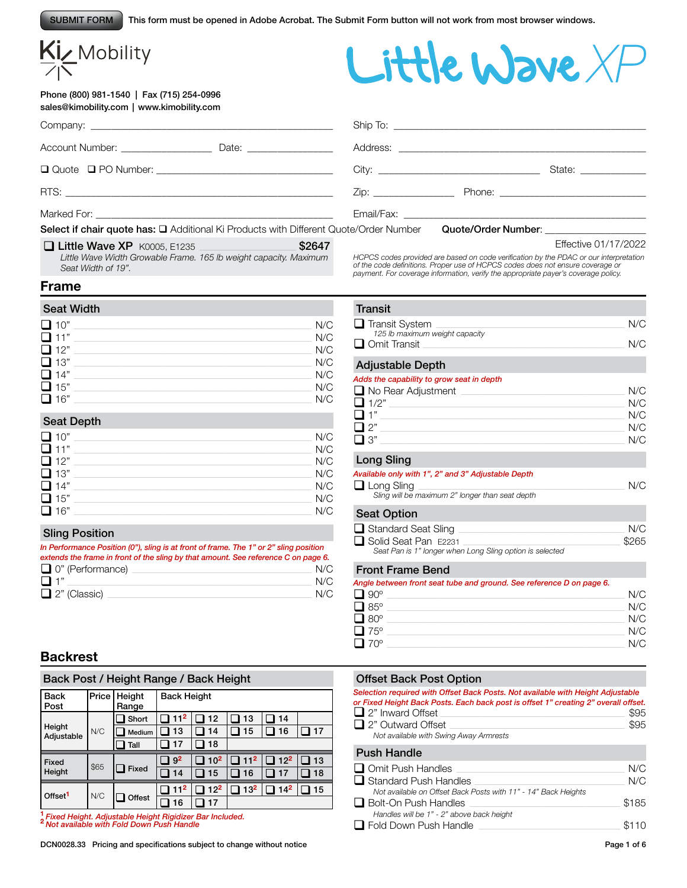This form must be opened in Adobe Acrobat. The Submit Form button will not work from most browser windows.

# Kiz Mobility

#### Phone (800) 981-1540 | Fax (715) 254-0996 sales@kimobility.com | www.kimobility.com

Little Wave XI

|                                                                                       |       |                                                                                                                                                                                                                                |                                                                                                                                                                                                                               | State: ______________ |
|---------------------------------------------------------------------------------------|-------|--------------------------------------------------------------------------------------------------------------------------------------------------------------------------------------------------------------------------------|-------------------------------------------------------------------------------------------------------------------------------------------------------------------------------------------------------------------------------|-----------------------|
|                                                                                       |       | Zip: the contract of the contract of the contract of the contract of the contract of the contract of the contract of the contract of the contract of the contract of the contract of the contract of the contract of the contr |                                                                                                                                                                                                                               |                       |
|                                                                                       |       |                                                                                                                                                                                                                                |                                                                                                                                                                                                                               |                       |
| Select if chair quote has: Q Additional Ki Products with Different Quote/Order Number |       |                                                                                                                                                                                                                                | Quote/Order Number: Note that the control of the control of the control of the control of the control of the control of the control of the control of the control of the control of the control of the control of the control |                       |
| $\Box$ iiittin Wayn YD Koose F1995                                                    | CDGA7 |                                                                                                                                                                                                                                |                                                                                                                                                                                                                               | Fffective 01/17/2022  |

□ Little Wave XP K0005, E1235 <br>Little Wave Width Growable Frame. 165 lb weight capacity. Maximum *Seat Width of 19".*

Effective 01/17/2022

HCPCS codes provided are based on code verification by the PDAC or our interpretation<br>of the code definitions. Proper use of HCPCS codes does not ensure coverage or<br>payment. For coverage information, verify the appropriate

#### **Frame**

| <b>Seat Width</b> |     |
|-------------------|-----|
| $\Box$ 10"        | N/C |
| $\Box$ 11"        | N/C |
| $\Box$ 12"        | N/C |
| $\Box$ 13"        | N/C |
| $\Box$ 14"        | N/C |
| $\Box$ 15"        | N/C |
| $\Box$ 16"        | N/C |

#### Seat Depth

| $\Box$ 10" | N/C |
|------------|-----|
| $\Box$ 11" | N/C |
| $\Box$ 12" | N/C |
| $\Box$ 13" | N/C |
| $\Box$ 14" | N/C |
| $\Box$ 15" | N/C |
| $\Box$ 16" | N/C |
|            |     |

#### Sling Position

| In Performance Position (0"), sling is at front of frame. The 1" or 2" sling position |     |
|---------------------------------------------------------------------------------------|-----|
| extends the frame in front of the sling by that amount. See reference C on page 6.    |     |
| $\Box$ 0" (Performance)                                                               | N/C |
| $\Box$ 1"                                                                             | N/C |
| $\Box$ 2" (Classic)                                                                   | N/C |

# **Backrest**

#### Back Post / Height Range / Back Height

|                      |       | ີ               | ີ                  |                 | ີ               |                 |    |
|----------------------|-------|-----------------|--------------------|-----------------|-----------------|-----------------|----|
| <b>Back</b><br>Post  | Price | Height<br>Range | <b>Back Height</b> |                 |                 |                 |    |
|                      |       | Short           | 11 <sup>2</sup>    | 12              | 13              | 14              |    |
| Height<br>Adjustable | N/C   | Medium          | 13                 | 14              | 15              | 16              | 17 |
|                      |       | Tall            | 17                 | 18              |                 |                 |    |
|                      |       |                 |                    |                 |                 |                 |    |
| Fixed                |       |                 | 9 <sup>2</sup>     | 10 <sup>2</sup> | 11 <sup>2</sup> | $12^{2}$        | 13 |
| Height               | \$65  | Fixed           | 14                 | 15              | 16              | 17              | 18 |
| Offset <sup>1</sup>  | N/C   |                 | 11 <sup>2</sup>    | $12^{2}$        | 13 <sup>2</sup> | 14 <sup>2</sup> | 15 |
|                      |       | Offest          | 16                 | 17              |                 |                 |    |

**<sup>1</sup>***Fixed Height. Adjustable Height Rigidizer Bar Included.* **<sup>2</sup>***Not available with Fold Down Push Handle*

DCN0028.33 Pricing and specifications subject to change without notice Page 1 of 6

# **Transit**

| $\Box$ Transit System          |  |
|--------------------------------|--|
| 125 lb maximum weight capacity |  |
| $\Box$ Omit Transit            |  |
|                                |  |

#### Adjustable Depth

#### *Adds the capability to grow seat in depth*

| No Rear Adjustment | N/C |
|--------------------|-----|
| $\Box$ 1/2"        | N/C |
| $\Box$ 1"          | N/C |
| $\Box$ 2"          | N/C |
| $\Box$ 3"          | N/C |

#### Long Sling

#### *Available only with 1", 2" and 3" Adjustable Depth*

| $\Box$ Long Sling                               | N/C |
|-------------------------------------------------|-----|
| Sling will be maximum 2" longer than seat depth |     |

#### **Seat Option**

| <b>OVAL OPHOLI</b>                                       |       |
|----------------------------------------------------------|-------|
| $\Box$ Standard Seat Sling                               | N/C   |
| Solid Seat Pan E2231                                     | \$265 |
| Seat Pan is 1" longer when Long Sling option is selected |       |

#### Front Frame Bend

*Angle between front seat tube and ground. See reference D on page 6.*

| $\Box$ 90 $^{\circ}$  | N/C |
|-----------------------|-----|
| $\overline{\Box}$ 85° | N/C |
| $\Box$ 80 $^{\circ}$  | N/C |
| $\Box$ 75°            | N/C |
| $\Box$ 70°            | N/C |

#### Offset Back Post Option

| Selection required with Offset Back Posts. Not available with Height Adjustable<br>or Fixed Height Back Posts. Each back post is offset 1" creating 2" overall offset.<br>$\Box$ 2" Inward Offset<br>\$95<br>\$95<br>$\Box$ 2" Outward Offset<br>Not available with Swing Away Armrests |            |
|-----------------------------------------------------------------------------------------------------------------------------------------------------------------------------------------------------------------------------------------------------------------------------------------|------------|
| <b>Push Handle</b>                                                                                                                                                                                                                                                                      |            |
| $\Box$ Omit Push Handles<br>$\Box$ Standard Push Handles                                                                                                                                                                                                                                | N/C<br>N/C |

| မ∎ ⊍шнишчтиян ниника                                           | $\sim$ |
|----------------------------------------------------------------|--------|
| Not available on Offset Back Posts with 11" - 14" Back Heights |        |
| $\Box$ Bolt-On Push Handles                                    | \$185  |
| Handles will be 1" - 2" above back height                      |        |
| $\Box$ Fold Down Push Handle                                   | \$110  |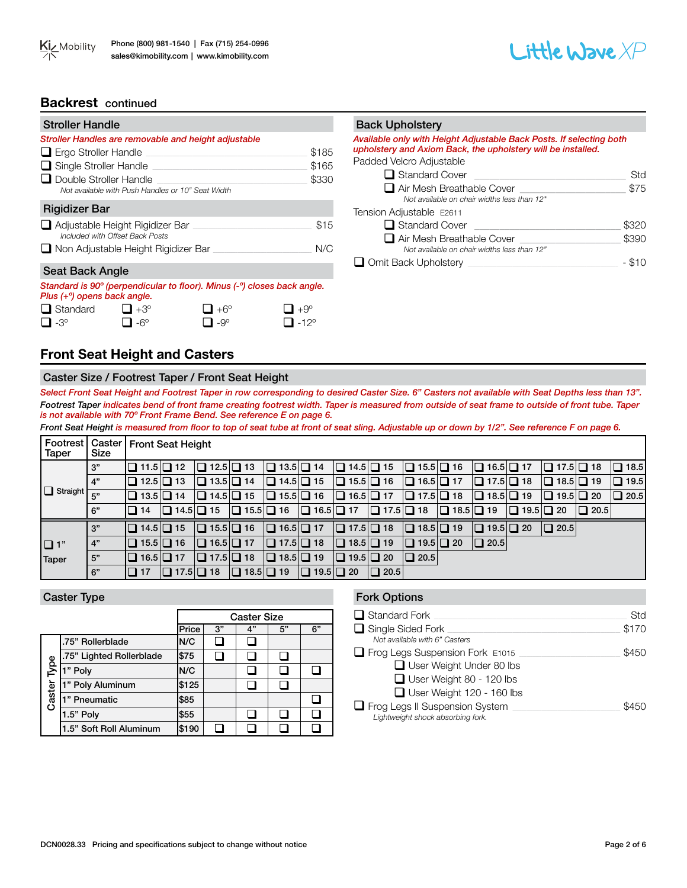

### **Backrest** continued

| <b>Stroller Handle</b>                                                             |       |
|------------------------------------------------------------------------------------|-------|
| Stroller Handles are removable and height adjustable                               |       |
| $\Box$ Ergo Stroller Handle                                                        | \$185 |
| $\Box$ Single Stroller Handle                                                      | \$165 |
| $\Box$ Double Stroller Handle<br>Not available with Push Handles or 10" Seat Width | \$330 |
| Rigidizer Bar                                                                      |       |
| $\Box$ Adjustable Height Rigidizer Bar<br>Included with Offset Back Posts          | \$15  |
| □ Non Adjustable Height Rigidizer Bar                                              | N/C   |
| Seat Back Angle                                                                    |       |

# *Standard is 90º (perpendicular to floor). Minus (-º) closes back angle. Plus (+º) opens back angle.*

| $\Box$ Standard | $\Box$ +3° | $\Box$ +6° | $\Box$ +9°           |
|-----------------|------------|------------|----------------------|
| $\Box$ -3°      | $\Box$ -6° | $\Box$ -9° | $\Box$ -12 $\degree$ |

# Back Upholstery

*Available only with Height Adjustable Back Posts. If selecting both upholstery and Axiom Back, the upholstery will be installed.* Padded Velcro Adjustable

| $\Box$ Standard Cover                                                           | Std   |
|---------------------------------------------------------------------------------|-------|
| $\Box$ Air Mesh Breathable Cover<br>Not available on chair widths less than 12" | \$75  |
| Tension Adjustable E2611                                                        |       |
| $\Box$ Standard Cover                                                           | \$320 |
| $\Box$ Air Mesh Breathable Cover<br>Not available on chair widths less than 12" | \$390 |
| $\Box$ Omit Back Upholstery                                                     |       |

# **Front Seat Height and Casters**

#### Caster Size / Footrest Taper / Front Seat Height

*Select Front Seat Height and Footrest Taper in row corresponding to desired Caster Size. 6" Casters not available with Seat Depths less than 13". Footrest Taper indicates bend of front frame creating footrest width. Taper is measured from outside of seat frame to outside of front tube. Taper is not available with 70º Front Frame Bend. See reference E on page 6.*

Front Seat Height is measured from floor to top of seat tube at front of seat sling. Adjustable up or down by 1/2". See reference F on page 6.

| Footrest   Caster  <br>Taper | <b>Size</b>     |                       | <b>Front Seat Height</b> |                       |  |                       |  |                       |                       |                       |                       |                       |  |                       |         |             |
|------------------------------|-----------------|-----------------------|--------------------------|-----------------------|--|-----------------------|--|-----------------------|-----------------------|-----------------------|-----------------------|-----------------------|--|-----------------------|---------|-------------|
|                              | 3"              | $\Box$ 11.5 $\Box$ 12 |                          | $\Box$ 12.5 $\Box$ 13 |  | $\Box$ 13.5 $\Box$ 14 |  | $\Box$ 14.5 $\Box$ 15 |                       | $\Box$ 15.5 $\Box$ 16 |                       | $\Box$ 16.5 $\Box$ 17 |  | $\Box$ 17.5 $\Box$ 18 |         | $\Box$ 18.5 |
|                              | $\mathsf{I}$ 4" | I❑ 12.5I❑ 13          |                          | $\Box$ 13.5 $\Box$ 14 |  | $\Box$ 14.5 $\Box$ 15 |  | $\Box$ 15.5 $\Box$ 16 |                       | $\Box$ 16.5 $\Box$ 17 |                       | $\Box$ 17.5 $\Box$ 18 |  | $\Box$ 18.5 $\Box$ 19 |         | $\Box$ 19.5 |
| <b>Q</b> Straight            | 5"              | I❑ 13.5I❑ 14          |                          | $\Box$ 14.5 $\Box$ 15 |  | $\Box$ 15.5 $\Box$ 16 |  | $\Box$ 16.5 $\Box$ 17 |                       | $\Box$ 17.5 $\Box$ 18 |                       | $\Box$ 18.5 $\Box$ 19 |  | $\Box$ 19.5 $\Box$ 20 |         | $\Box$ 20.5 |
|                              | 6"              | I∐ 14                 | $\Box$ 14.5 $\Box$ 15    |                       |  | $\Box$ 15.5 $\Box$ 16 |  | $\Box$ 16.5 $\Box$ 17 | $\Box$ 17.5 $\Box$ 18 |                       | $\Box$ 18.5 $\Box$ 19 |                       |  | $\Box$ 19.5 $\Box$ 20 | I∐ 20.5 |             |
|                              | 3"              | $\Box$ 14.5 $\Box$ 15 |                          | $\Box$ 15.5 $\Box$ 16 |  | $\Box$ 16.5 $\Box$ 17 |  | $\Box$ 17.5 $\Box$ 18 |                       | $\Box$ 18.5 $\Box$ 19 |                       | $\Box$ 19.5 $\Box$ 20 |  | $\Box$ 20.5           |         |             |
| $\Box$ 1"                    | 4"              | $\Box$ 15.5 $\Box$ 16 |                          | $\Box$ 16.5 $\Box$ 17 |  | $\Box$ 17.5 $\Box$ 18 |  | $\Box$ 18.5 $\Box$ 19 |                       | $\Box$ 19.5 $\Box$ 20 |                       | $\Box$ 20.5           |  |                       |         |             |
| Taper                        | 5"              | $\Box$ 16.5 $\Box$ 17 |                          | $\Box$ 17.5 $\Box$ 18 |  | $\Box$ 18.5 $\Box$ 19 |  | $\Box$ 19.5 $\Box$ 20 |                       | $\Box$ 20.5           |                       |                       |  |                       |         |             |
|                              | 6"              | $\Box$ 17             | $\Box$ 17.5 $\Box$ 18    |                       |  | $\Box$ 18.5 $\Box$ 19 |  | $\Box$ 19.5 $\Box$ 20 | $\Box$ 20.5           |                       |                       |                       |  |                       |         |             |

|                |                          | <b>Caster Size</b> |    |    |    |    |  |  |  |
|----------------|--------------------------|--------------------|----|----|----|----|--|--|--|
|                |                          | Price              | 3" | 4" | 5" | 6" |  |  |  |
| Туре<br>Caster | .75" Rollerblade         | N/C                |    |    |    |    |  |  |  |
|                | .75" Lighted Rollerblade | \$75               |    |    |    |    |  |  |  |
|                | 1" Poly                  | N/C                |    |    |    |    |  |  |  |
|                | 1" Poly Aluminum         | \$125              |    |    |    |    |  |  |  |
|                | 1" Pneumatic             | \$85               |    |    |    |    |  |  |  |
|                | 1.5" Poly                | \$55               |    |    |    |    |  |  |  |
|                | 1.5" Soft Roll Aluminum  | \$190              |    |    |    |    |  |  |  |

#### Caster Type **Fork Options** Caster Type **Fork Options**

| $\Box$ Standard Fork                     | Std   |
|------------------------------------------|-------|
| $\Box$ Single Sided Fork                 | \$170 |
| Not available with 6" Casters            |       |
| $\Box$ Frog Legs Suspension Fork $E1015$ | \$450 |
| $\Box$ User Weight Under 80 lbs          |       |
| $\Box$ User Weight 80 - 120 lbs          |       |
| $\Box$ User Weight 120 - 160 lbs         |       |
| Frog Legs II Suspension System           | \$450 |
| Lightweight shock absorbing fork.        |       |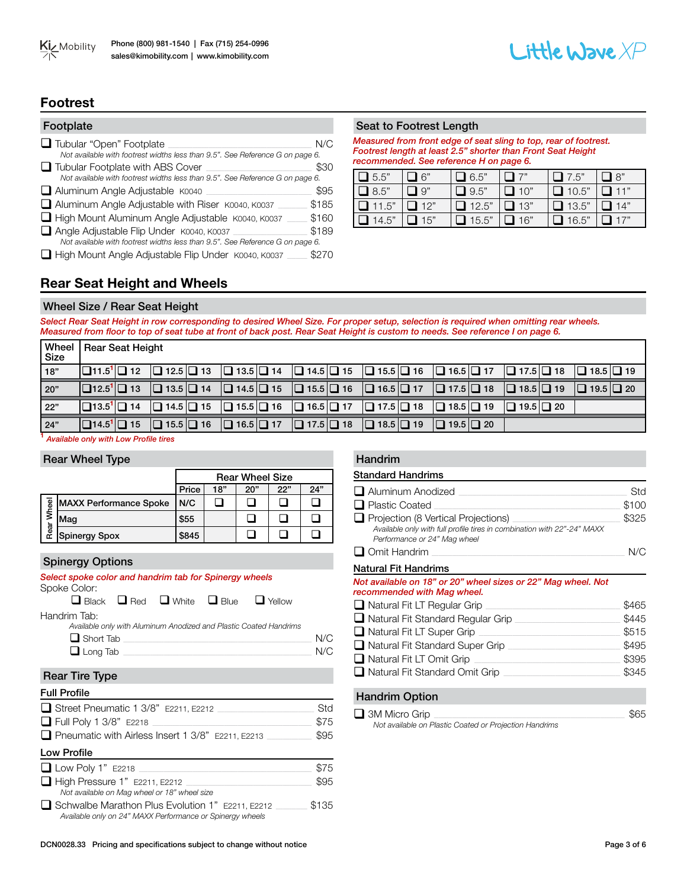



### **Footrest**

| Footplate                                                                     |       |
|-------------------------------------------------------------------------------|-------|
| Tubular "Open" Footplate                                                      | N/C   |
| Not available with footrest widths less than 9.5". See Reference G on page 6. |       |
| $\Box$ Tubular Footplate with ABS Cover                                       | \$30  |
| Not available with footrest widths less than 9.5". See Reference G on page 6. |       |
| Aluminum Angle Adjustable K0040                                               | \$95  |
| Aluminum Angle Adjustable with Riser K0040, K0037                             | \$185 |
| High Mount Aluminum Angle Adjustable K0040, K0037                             | \$160 |
| Angle Adjustable Flip Under K0040, K0037                                      | \$189 |
| Not available with footrest widths less than 9.5". See Reference G on page 6. |       |
| High Mount Angle Adjustable Flip Under K0040, K0037                           |       |

#### Seat to Footrest Length

*Measured from front edge of seat sling to top, rear of footrest. Footrest length at least 2.5" shorter than Front Seat Height recommended. See reference H on page 6.* 

| $\Box$ 5.5"  | $\Box$ 6"     | $\Box$ 6.5"  | $\Box$ 7"  | $\Box$ 7.5"  | $\Box$ 8"        |
|--------------|---------------|--------------|------------|--------------|------------------|
| $\Box$ 8.5"  | $\Box$ 9"     | $\Box$ 9.5"  | $\Box$ 10" | $\Box$ 10.5" | $\Box$ 11"       |
| $\Box$ 11.5" | $\Box$ 12"    | $\Box$ 12.5" | $\Box$ 13" | $\Box$ 13.5" | $\Box$ 14"       |
| $\Box$ 14.5" | $\square$ 15" | $\Box$ 15.5" | $\Box$ 16" | $\Box$ 16.5" | $\mathbf{1}$ 17" |

# **Rear Seat Height and Wheels**

#### Wheel Size / Rear Seat Height

*Select Rear Seat Height in row corresponding to desired Wheel Size. For proper setup, selection is required when omitting rear wheels. Measured from floor to top of seat tube at front of back post. Rear Seat Height is custom to needs. See reference I on page 6.* 

| Wheel<br>Size | Rear Seat Height |                                                                                |                       |                                                                       |                                                                                                                                                                                                                                                                           |                       |
|---------------|------------------|--------------------------------------------------------------------------------|-----------------------|-----------------------------------------------------------------------|---------------------------------------------------------------------------------------------------------------------------------------------------------------------------------------------------------------------------------------------------------------------------|-----------------------|
| 18"           |                  |                                                                                |                       |                                                                       | $\boxed{ \Box 11.5} \boxed{ \Box 12}$ $\boxed{ \Box 12.5} \boxed{ \Box 13}$ $\boxed{ \Box 13.5} \boxed{ \Box 14}$ $\boxed{ \Box 14.5} \boxed{ \Box 15}$ $\boxed{ \Box 15.5} \boxed{ \Box 16}$ $\boxed{ \Box 16.5} \boxed{ \Box 17}$ $\boxed{ \Box 17.5} \boxed{ \Box 18}$ | $\Box$ 18.5 $\Box$ 19 |
| 20"           |                  |                                                                                |                       |                                                                       | $\boxed{ \Box 12.5^1 \Box 13}$ $\boxed{ \Box 13.5 \Box 14}$ $\boxed{ \Box 14.5 \Box 15}$ $\boxed{ \Box 15.5 \Box 16}$ $\boxed{ \Box 16.5 \Box 17}$ $\boxed{ \Box 17.5 \Box 18}$ $\boxed{ \Box 18.5 \Box 19}$                                                              | $\Box$ 19.5 $\Box$ 20 |
| 22"           |                  |                                                                                |                       |                                                                       | $\Box$ 13.5 <sup>1</sup> $\Box$ 14 $\Box$ 14.5 $\Box$ 15 $\Box$ 15.5 $\Box$ 16 $\Box$ 16.5 $\Box$ 17 $\Box$ 17.5 $\Box$ 18 $\Box$ 18.5 $\Box$ 19 $\Box$ 19.5 $\Box$ 20                                                                                                    |                       |
| $\boxed{24"}$ |                  | $\Box$ 14.5 <sup>1</sup> $\Box$ 15 $\Box$ 15.5 $\Box$ 16 $\Box$ 16.5 $\Box$ 17 | $\Box$ 17.5 $\Box$ 18 | $\boxed{ \square 18.5 \square 19}$ $\boxed{ \square 19.5 \square 20}$ |                                                                                                                                                                                                                                                                           |                       |

**<sup>1</sup>** *Available only with Low Profile tires*

#### Rear Wheel Type

|       |                               | <b>Rear Wheel Size</b> |     |     |     |     |  |  |  |  |
|-------|-------------------------------|------------------------|-----|-----|-----|-----|--|--|--|--|
|       |                               | Price                  | 18" | 20" | 22" | 24" |  |  |  |  |
| Wheel | <b>MAXX Performance Spoke</b> | I N/C                  |     |     |     |     |  |  |  |  |
| Rear  | Maa                           | \$55                   |     |     |     |     |  |  |  |  |
|       | Spinergy Spox                 | \$845                  |     |     |     |     |  |  |  |  |

#### Spinergy Options

| Select spoke color and handrim tab for Spinergy wheels<br>Spoke Color:                                                                                                                                                              |                       |
|-------------------------------------------------------------------------------------------------------------------------------------------------------------------------------------------------------------------------------------|-----------------------|
| $\Box$ Black $\Box$ Red $\Box$ White $\Box$ Blue<br>$\Box$ Yellow                                                                                                                                                                   |                       |
| Handrim Tab:<br>Available only with Aluminum Anodized and Plastic Coated Handrims<br>$\Box$ Short Tab<br>└┛Long Tab ────────────────────                                                                                            | N/C<br>N/C            |
| <b>Rear Tire Type</b>                                                                                                                                                                                                               |                       |
| <b>Full Profile</b>                                                                                                                                                                                                                 |                       |
| Street Pneumatic 1 3/8" E2211, E2212<br>$\Box$ Full Poly 1 3/8" E2218<br>Pneumatic with Airless Insert 1 3/8" E2211, E2213                                                                                                          | Std<br>\$75<br>\$95   |
| <b>Low Profile</b>                                                                                                                                                                                                                  |                       |
| $\Box$ Low Poly 1" E2218<br>$\Box$ High Pressure 1" E2211, E2212<br>Not available on Mag wheel or 18" wheel size<br>□ Schwalbe Marathon Plus Evolution 1" E2211, E2212<br>Available only on 24" MAXX Performance or Spinergy wheels | \$75<br>\$95<br>\$135 |

#### Handrim

| <b>Standard Handrims</b>                                                                                                                              |       |
|-------------------------------------------------------------------------------------------------------------------------------------------------------|-------|
| □ Aluminum Anodized                                                                                                                                   | Std   |
| <b>■ Plastic Coated</b>                                                                                                                               | \$100 |
| $\Box$ Projection (8 Vertical Projections)<br>Available only with full profile tires in combination with 22"-24" MAXX<br>Performance or 24" Mag wheel | \$325 |
| $\Box$ Omit Handrim                                                                                                                                   | N/C   |
| <b>Natural Fit Handrims</b>                                                                                                                           |       |
| Not available on 18" or 20" wheel sizes or 22" Mag wheel. Not<br>recommended with Mag wheel.                                                          |       |
| $\Box$ Natural Fit LT Regular Grip                                                                                                                    | \$465 |
| □ Natural Fit Standard Regular Grip                                                                                                                   | \$445 |
| $\Box$ Natural Fit LT Super Grip                                                                                                                      | \$515 |
| □ Natural Fit Standard Super Grip                                                                                                                     | \$495 |
| $\Box$ Natural Fit LT Omit Grip                                                                                                                       | \$395 |
| □ Natural Fit Standard Omit Grip                                                                                                                      | \$345 |
| <b>Handrim Option</b>                                                                                                                                 |       |

q 3M Micro Grip \_\_\_\_\_\_\_\_\_\_\_\_\_\_\_\_\_\_\_\_\_\_\_\_\_\_\_\_\_\_\_\_\_\_\_\_\_\_\_\_\_\_\_\_\_\_\_\_\_\_\_\_\_\_\_\_\_\_\_\_\_\_\_\_\_\_\_\_\_\_\_\_\_\_\_\_\_\_\_\_\_\_\_\_\_ \$65 *Not available on Plastic Coated or Projection Handrims*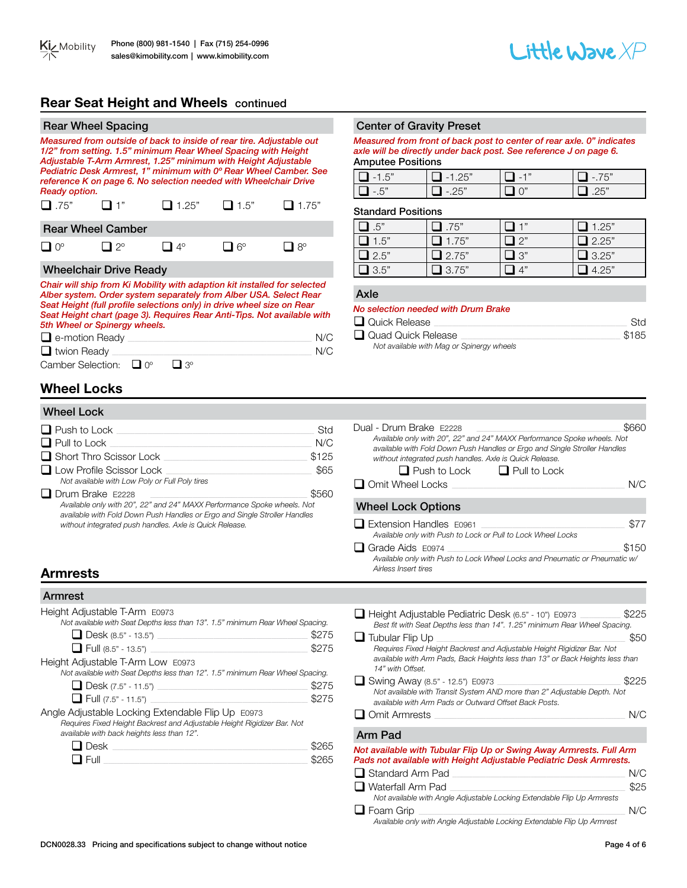# **Rear Seat Height and Wheels** continued

| <b>Rear Wheel Spacing</b>                                                                                                                                                                                                                                                                                                                                          |                               |                |             |                      |
|--------------------------------------------------------------------------------------------------------------------------------------------------------------------------------------------------------------------------------------------------------------------------------------------------------------------------------------------------------------------|-------------------------------|----------------|-------------|----------------------|
| Measured from outside of back to inside of rear tire. Adjustable out<br>1/2" from setting. 1.5" minimum Rear Wheel Spacing with Height<br>Adjustable T-Arm Armrest, 1.25" minimum with Height Adjustable<br>Pediatric Desk Armrest, 1" minimum with 0° Rear Wheel Camber. See<br>reference K on page 6. No selection needed with Wheelchair Drive<br>Ready option. |                               |                |             |                      |
| $\square$ .75"                                                                                                                                                                                                                                                                                                                                                     | ┛1"                           | $\Box$ 1.25"   | $\Box$ 1.5" | $\blacksquare$ 1.75" |
|                                                                                                                                                                                                                                                                                                                                                                    | <b>Rear Wheel Camber</b>      |                |             |                      |
| $\Box$ 0°                                                                                                                                                                                                                                                                                                                                                          | $12^{\circ}$                  | $14^\circ$     | $\Box$ 6°   | $8^{\circ}$          |
|                                                                                                                                                                                                                                                                                                                                                                    | <b>Wheelchair Drive Ready</b> |                |             |                      |
| Chair will ship from Ki Mobility with adaption kit installed for selected<br>Alber system. Order system separately from Alber USA. Select Rear<br>Seat Height (full profile selections only) in drive wheel size on Rear<br>Seat Height chart (page 3). Requires Rear Anti-Tips. Not available with<br>5th Wheel or Spinergy wheels.                               |                               |                |             |                      |
| $\Box$ e-motion Ready                                                                                                                                                                                                                                                                                                                                              |                               |                |             | N/C                  |
| $\Box$ twion Ready                                                                                                                                                                                                                                                                                                                                                 |                               |                |             | N/C                  |
| Camber Selection:                                                                                                                                                                                                                                                                                                                                                  |                               | 30<br>$\Omega$ |             |                      |

# **Wheel Locks**

#### Wheel Lock

| $\Box$ Push to Lock                                                                                                                                                                                                                        | Std   |
|--------------------------------------------------------------------------------------------------------------------------------------------------------------------------------------------------------------------------------------------|-------|
| $\Box$ Pull to Lock                                                                                                                                                                                                                        | N/C   |
| $\Box$ Short Thro Scissor Lock                                                                                                                                                                                                             | \$125 |
| $\Box$ Low Profile Scissor Lock<br>Not available with Low Poly or Full Poly tires                                                                                                                                                          | \$65  |
| $\Box$ Drum Brake E2228<br>Available only with 20", 22" and 24" MAXX Performance Spoke wheels. Not<br>available with Fold Down Push Handles or Ergo and Single Stroller Handles<br>without integrated push handles. Axle is Quick Release. | \$560 |

#### Center of Gravity Preset

*Measured from front of back post to center of rear axle. 0" indicates axle will be directly under back post. See reference J on page 6.* Amputee Positions

|            | $\sim$ | $-$ | $E^{\prime\prime}$       |
|------------|--------|-----|--------------------------|
| $\sqrt{2}$ |        |     | $\overline{\phantom{a}}$ |

#### Standard Positions

| $\mathbf{1}$ .5" | $\mathbf{L}$ .75" | ┓…   | $\mathbf{\mathsf{1}}$ 1.25" |
|------------------|-------------------|------|-----------------------------|
| $\Box$ 1.5"      | 11.75"            | "? ו | $\Box$ 2.25"                |
| $\Box$ 2.5"      | $\Box$ 2.75"      | ヿ ?" | $\Box$ 3.25"                |
| 1.3.5"           | 13.75"            |      | 4.25"                       |

#### Axle

#### *No selection needed with Drum Brake*

| Quick Release                             | Std   |
|-------------------------------------------|-------|
| Quad Quick Release                        | \$185 |
| Not available with Mag or Spinergy wheels |       |

| Dual - Drum Brake E2228                                                                                                                              |       |
|------------------------------------------------------------------------------------------------------------------------------------------------------|-------|
| Available only with 20", 22" and 24" MAXX Performance Spoke wheels. Not<br>available with Fold Down Push Handles or Ergo and Single Stroller Handles |       |
| without integrated push handles. Axle is Quick Release.                                                                                              |       |
| $\Box$ Push to Lock $\Box$ Pull to Lock                                                                                                              |       |
| $\Box$ Omit Wheel Locks                                                                                                                              | N/C   |
| <b>Wheel Lock Options</b>                                                                                                                            |       |
| $\Box$ Extension Handles E0961                                                                                                                       | \$77  |
| Available only with Push to Lock or Pull to Lock Wheel Locks                                                                                         |       |
| Grade Aids E0974                                                                                                                                     | \$150 |
| Available only with Push to Lock Wheel Locks and Pneumatic or Pneumatic w/                                                                           |       |

# *Airless Insert tires* **Armrests**

#### Armrest

| Height Adjustable T-Arm E0973                                                  |       |
|--------------------------------------------------------------------------------|-------|
| Not available with Seat Depths less than 13". 1.5" minimum Rear Wheel Spacing. |       |
| $\Box$ Desk (8.5" - 13.5")                                                     | \$275 |
| $\Box$ Full (8.5" - 13.5")                                                     | \$275 |
| Height Adjustable T-Arm Low E0973                                              |       |
| Not available with Seat Depths less than 12". 1.5" minimum Rear Wheel Spacing. |       |
| $\Box$ Desk (7.5" - 11.5")                                                     | \$275 |
| $\Box$ Full (7.5" - 11.5") $\Box$                                              | \$275 |
| Angle Adjustable Locking Extendable Flip Up E0973                              |       |
| Requires Fixed Height Backrest and Adjustable Height Rigidizer Bar. Not        |       |
| available with back heights less than 12".                                     |       |
| Desk                                                                           | 8265  |
| Full                                                                           |       |

| □ Height Adjustable Pediatric Desk (6.5" - 10") E0973<br>Best fit with Seat Depths less than 14". 1.25" minimum Rear Wheel Spacing.                                          | \$225 |
|------------------------------------------------------------------------------------------------------------------------------------------------------------------------------|-------|
| $\Box$ Tubular Flip Up                                                                                                                                                       | \$50  |
| Requires Fixed Height Backrest and Adjustable Height Rigidizer Bar. Not<br>available with Arm Pads, Back Heights less than 13" or Back Heights less than<br>14" with Offset. |       |
| $\Box$ Swing Away (8.5" - 12.5") E0973<br>Not available with Transit System AND more than 2" Adjustable Depth. Not<br>available with Arm Pads or Outward Offset Back Posts.  | \$225 |
| <b>Omit Armrests</b>                                                                                                                                                         | N/C   |
| Arm Pad                                                                                                                                                                      |       |
| Not available with Tubular Flip Up or Swing Away Armrests. Full Arm<br>Pads not available with Height Adjustable Pediatric Desk Armrests.                                    |       |
| <b>J</b> Standard Arm Pad                                                                                                                                                    | N/C   |
| $\Box$ Waterfall Arm Pad                                                                                                                                                     | \$25  |
| Not available with Angle Adjustable Locking Extendable Flip Up Armrests                                                                                                      |       |

| $\Box$ Foam Grip                                                        |  |  |
|-------------------------------------------------------------------------|--|--|
| Available only with Angle Adjustable Locking Extendable Flip Up Armrest |  |  |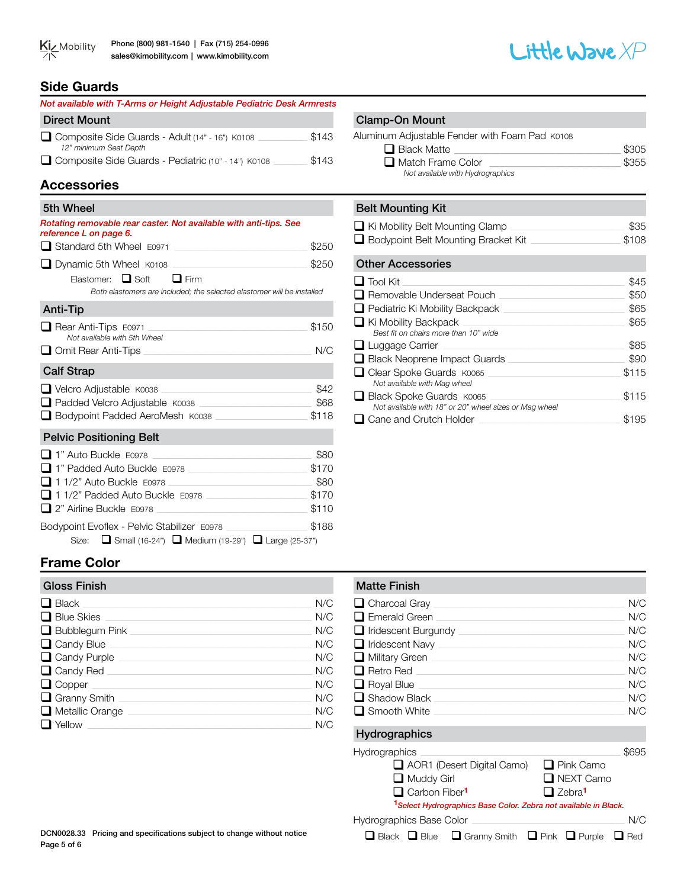



### **Side Guards**

| Not available with T-Arms or Height Adjustable Pediatric Desk Armrests    |       |
|---------------------------------------------------------------------------|-------|
| <b>Direct Mount</b>                                                       |       |
| Composite Side Guards - Adult (14" - 16") K0108<br>12" minimum Seat Depth | \$143 |
| Composite Side Guards - Pediatric (10" - 14") K0108                       | \$143 |

# **Accessories**

| 5th Wheel                                                                                                       |       |
|-----------------------------------------------------------------------------------------------------------------|-------|
| Rotating removable rear caster. Not available with anti-tips. See<br>reference L on page 6.                     |       |
| Standard 5th Wheel E0971                                                                                        | \$250 |
| $\Box$ Dynamic 5th Wheel $K$ 0108<br><u> 1999 - Johann Stein, mars and de Britannich (b. 19</u>                 | \$250 |
| Elastomer: $\Box$ Soft<br>$\Box$ Firm<br>Both elastomers are included; the selected elastomer will be installed |       |
| <b>Anti-Tip</b>                                                                                                 |       |
| $\Box$ Rear Anti-Tips $E0971$<br>Not available with 5th Wheel                                                   | \$150 |
| □ Omit Rear Anti-Tips                                                                                           | N/C   |
| <b>Calf Strap</b>                                                                                               |       |
|                                                                                                                 | \$42  |
| □ Padded Velcro Adjustable K0038                                                                                | \$68  |
| □ Bodypoint Padded AeroMesh K0038                                                                               | \$118 |
| <b>Pelvic Positioning Belt</b>                                                                                  |       |
| 1" Auto Buckle E0978                                                                                            | \$80  |
| 1" Padded Auto Buckle E0978                                                                                     | \$170 |
| 1 1/2" Auto Buckle E0978                                                                                        | \$80  |
| 11/2" Padded Auto Buckle E0978                                                                                  | \$170 |
| $\Box$ 2" Airline Buckle $E0978$                                                                                | \$110 |
| Bodypoint Evoflex - Pelvic Stabilizer E0978                                                                     | \$188 |
| Size: ■ Small (16-24") ■ Medium (19-29") ■ Large (25-37")                                                       |       |

# **Frame Color**

| <b>Gloss Finish</b>          |     |
|------------------------------|-----|
| $\Box$ Black                 | N/C |
| $\Box$ Blue Skies            | N/C |
| $\Box$ Bubblegum Pink $\Box$ | N/C |
| $\Box$ Candy Blue $\Box$     | N/C |
| Candy Purple                 | N/C |
| $\Box$ Candy Red             | N/C |
| $\Box$ Copper                | N/C |
| Granny Smith __              | N/C |
| $\Box$ Metallic Orange       | N/C |
| $\Box$ Yellow                | N/C |

#### Clamp-On Mount

| Aluminum Adjustable Fender with Foam Pad K0108 |       |
|------------------------------------------------|-------|
| $\Box$ Black Matte                             | \$305 |
| Match Frame Color                              | \$355 |
| Not available with Hydrographics               |       |

#### Belt Mounting Kit

| $\Box$ Ki Mobility Belt Mounting Clamp | \$35  |
|----------------------------------------|-------|
| Bodypoint Belt Mounting Bracket Kit    | \$108 |

#### Other Accessories

| $\Box$ Tool Kit                                                                    | \$45  |
|------------------------------------------------------------------------------------|-------|
| $\Box$ Removable Underseat Pouch                                                   | \$50  |
| $\Box$ Pediatric Ki Mobility Backpack                                              | \$65  |
| $\Box$ Ki Mobility Backpack<br>Best fit on chairs more than 10" wide               | \$65  |
| $\Box$ Luggage Carrier                                                             | \$85  |
| $\Box$ Black Neoprene Impact Guards                                                | \$90  |
| $\Box$ Clear Spoke Guards $K0065$<br>Not available with Mag wheel                  | \$115 |
| Black Spoke Guards K0065<br>Not available with 18" or 20" wheel sizes or Mag wheel | \$115 |
| Cane and Crutch Holder                                                             | \$195 |

# **Matte Finish** q Charcoal Gray \_\_\_\_\_\_\_\_\_\_\_\_\_\_\_\_\_\_\_\_\_\_\_\_\_\_\_\_\_\_\_\_\_\_\_\_\_\_\_\_\_\_\_\_\_\_\_\_\_\_\_\_\_\_\_\_\_\_\_\_\_\_\_\_\_\_\_\_\_\_\_\_\_\_\_\_\_\_\_\_\_\_\_\_\_ N/C  $\Box$  Emerald Green  $\boxed{\blacksquare}$ Iridescent Burgundy<br>  $\blacksquare$ Iridescent Navy<br>
N/C  $\Box$  Iridescent Navy q Military Green \_\_\_\_\_\_\_\_\_\_\_\_\_\_\_\_\_\_\_\_\_\_\_\_\_\_\_\_\_\_\_\_\_\_\_\_\_\_\_\_\_\_\_\_\_\_\_\_\_\_\_\_\_\_\_\_\_\_\_\_\_\_\_\_\_\_\_\_\_\_\_\_\_\_\_\_\_\_\_\_\_\_\_\_\_\_ N/C q Retro Red \_\_\_\_\_\_\_\_\_\_\_\_\_\_\_\_\_\_\_\_\_\_\_\_\_\_\_\_\_\_\_\_\_\_\_\_\_\_\_\_\_\_\_\_\_\_\_\_\_\_\_\_\_\_\_\_\_\_\_\_\_\_\_\_\_\_\_\_\_\_\_\_\_\_\_\_\_\_\_\_\_\_\_\_\_\_\_\_\_\_\_\_\_ N/C q Royal Blue \_\_\_\_\_\_\_\_\_\_\_\_\_\_\_\_\_\_\_\_\_\_\_\_\_\_\_\_\_\_\_\_\_\_\_\_\_\_\_\_\_\_\_\_\_\_\_\_\_\_\_\_\_\_\_\_\_\_\_\_\_\_\_\_\_\_\_\_\_\_\_\_\_\_\_\_\_\_\_\_\_\_\_\_\_\_\_\_\_\_\_\_ N/C

| $\Box$ Shadow Black<br>$\Box$ Smooth White | N/C<br>N/C |
|--------------------------------------------|------------|
| Hydrographics                              |            |
| Hydrographics                              | \$695      |

| AOR1 (Desert Digital Camo)                                                  | $\Box$ Pink Camo          |     |
|-----------------------------------------------------------------------------|---------------------------|-----|
| $\Box$ Muddy Girl                                                           | $\Box$ NEXT Camo          |     |
| $\Box$ Carbon Fiber <sup>1</sup>                                            | $\Box$ Zebra <sup>1</sup> |     |
| <sup>1</sup> Select Hydrographics Base Color. Zebra not available in Black. |                           |     |
| <b>Hydrographics Base Color</b>                                             |                           | N/C |

 $\Box$  Black  $\Box$  Blue  $\Box$  Granny Smith  $\Box$  Pink  $\Box$  Purple  $\Box$  Red